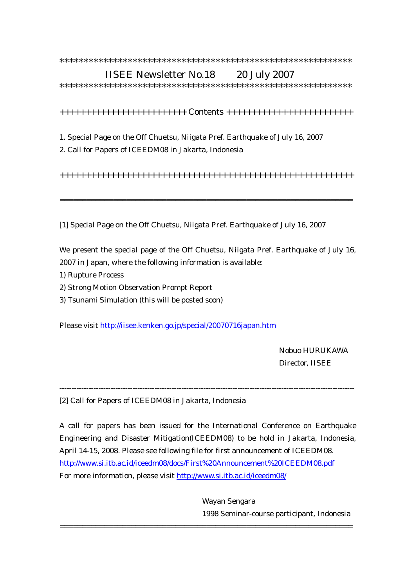## \*\*\*\*\*\*\*\*\*\*\*\*\*\*\*\*\*\*\*\*\*\*\*\*\*\*\*\*\*\*\*\*\*\*\*\*\*\*\*\*\*\*\*\*\*\*\*\*\*\*\*\*\*\*\*\*\*\*\*\*

## IISEE Newsletter No.18 20 July 2007

\*\*\*\*\*\*\*\*\*\*\*\*\*\*\*\*\*\*\*\*\*\*\*\*\*\*\*\*\*\*\*\*\*\*\*\*\*\*\*\*\*\*\*\*\*\*\*\*\*\*\*\*\*\*\*\*\*\*\*\*

+++++++++++++++++++++++++ Contents +++++++++++++++++++++++++

- 1. Special Page on the Off Chuetsu, Niigata Pref. Earthquake of July 16, 2007
- 2. Call for Papers of ICEEDM08 in Jakarta, Indonesia

++++++++++++++++++++++++++++++++++++++++++++++++++++++++++

==================================================================

[1] Special Page on the Off Chuetsu, Niigata Pref. Earthquake of July 16, 2007

We present the special page of the Off Chuetsu, Niigata Pref. Earthquake of July 16, 2007 in Japan, where the following information is available:

- 1) Rupture Process
- 2) Strong Motion Observation Prompt Report
- 3) Tsunami Simulation (this will be posted soon)

Please visit http://iisee.kenken.go.jp/special/20070716japan.htm

 Nobuo HURUKAWA Director, IISEE

[2] Call for Papers of ICEEDM08 in Jakarta, Indonesia

A call for papers has been issued for the International Conference on Earthquake Engineering and Disaster Mitigation(ICEEDM08) to be hold in Jakarta, Indonesia, April 14-15, 2008. Please see following file for first announcement of ICEEDM08. http://www.si.itb.ac.id/iceedm08/docs/First%20Announcement%20ICEEDM08.pdf For more information, please visit http://www.si.itb.ac.id/iceedm08/

==================================================================

-------------------------------------------------------------------------------------------------------------------------

 Wayan Sengara 1998 Seminar-course participant, Indonesia